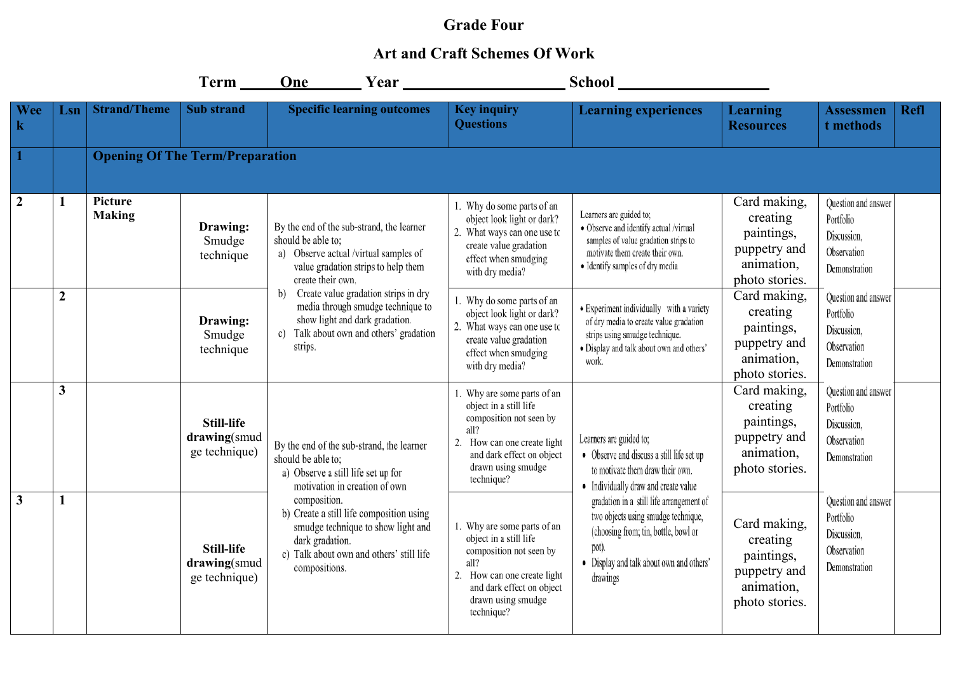## **Grade Four**

## **Art and Craft Schemes Of Work**

|                     |                  |                                        | $Term$ <sub>_____</sub>                            | One Year                                                                                                                                                                       |                                                                                                                                                                                          | School <u>School</u>                                                                                                                                                                     |                                                                                        |                                                                                 |
|---------------------|------------------|----------------------------------------|----------------------------------------------------|--------------------------------------------------------------------------------------------------------------------------------------------------------------------------------|------------------------------------------------------------------------------------------------------------------------------------------------------------------------------------------|------------------------------------------------------------------------------------------------------------------------------------------------------------------------------------------|----------------------------------------------------------------------------------------|---------------------------------------------------------------------------------|
| Wee<br>$\mathbf{k}$ | Lsn              | <b>Strand/Theme</b>                    | <b>Sub</b> strand                                  | <b>Specific learning outcomes</b>                                                                                                                                              | <b>Key inquiry</b><br><b>Questions</b>                                                                                                                                                   | <b>Learning experiences</b>                                                                                                                                                              | <b>Learning</b><br><b>Resources</b>                                                    | <b>Refl</b><br><b>Assessmen</b><br>t methods                                    |
|                     |                  | <b>Opening Of The Term/Preparation</b> |                                                    |                                                                                                                                                                                |                                                                                                                                                                                          |                                                                                                                                                                                          |                                                                                        |                                                                                 |
| $\overline{2}$      | 1                | Picture<br><b>Making</b>               | Drawing:<br>Smudge<br>technique                    | By the end of the sub-strand, the learner<br>should be able to:<br>a) Observe actual /virtual samples of<br>value gradation strips to help them<br>create their own.           | 1. Why do some parts of an<br>object look light or dark?<br>2. What ways can one use to<br>create value gradation<br>effect when smudging<br>with dry media?                             | Learners are guided to;<br>· Observe and identify actual /virtual<br>samples of value gradation strips to<br>motivate them create their own.<br>· Identify samples of dry media          | Card making,<br>creating<br>paintings,<br>puppetry and<br>animation,<br>photo stories. | Question and answer<br>Portfolio<br>Discussion,<br>Observation<br>Demonstration |
|                     | $\boldsymbol{2}$ |                                        | Drawing:<br>Smudge<br>technique                    | b) Create value gradation strips in dry<br>media through smudge technique to<br>show light and dark gradation.<br>c) Talk about own and others' gradation<br>strips.           | . Why do some parts of an<br>object look light or dark?<br>2. What ways can one use to<br>create value gradation<br>effect when smudging<br>with dry media?                              | • Experiment individually with a variety<br>of dry media to create value gradation<br>strips using smudge technique.<br>· Display and talk about own and others'<br>work.                | Card making,<br>creating<br>paintings,<br>puppetry and<br>animation,<br>photo stories. | Question and answer<br>Portfolio<br>Discussion.<br>Observation<br>Demonstration |
|                     | $\mathbf{3}$     |                                        | <b>Still-life</b><br>drawing(smud<br>ge technique) | By the end of the sub-strand, the learner<br>should be able to:<br>a) Observe a still life set up for<br>motivation in creation of own                                         | 1. Why are some parts of an<br>object in a still life<br>composition not seen by<br>all?<br>2. How can one create light<br>and dark effect on object<br>drawn using smudge<br>technique? | Learners are guided to;<br>• Observe and discuss a still life set up<br>to motivate them draw their own.<br>• Individually draw and create value                                         | Card making,<br>creating<br>paintings,<br>puppetry and<br>animation,<br>photo stories. | Question and answer<br>Portfolio<br>Discussion,<br>Observation<br>Demonstration |
| $\mathbf{3}$        | $\mathbf{1}$     |                                        | <b>Still-life</b><br>drawing(smud<br>ge technique) | composition.<br>b) Create a still life composition using<br>smudge technique to show light and<br>dark gradation.<br>c) Talk about own and others' still life<br>compositions. | 1. Why are some parts of an<br>object in a still life<br>composition not seen by<br>all?<br>2. How can one create light<br>and dark effect on object<br>drawn using smudge<br>technique? | gradation in a still life arrangement of<br>two objects using smudge technique,<br>(choosing from; tin, bottle, bowl or<br>pot).<br>• Display and talk about own and others'<br>drawings | Card making,<br>creating<br>paintings,<br>puppetry and<br>animation,<br>photo stories. | Question and answer<br>Portfolio<br>Discussion,<br>Observation<br>Demonstration |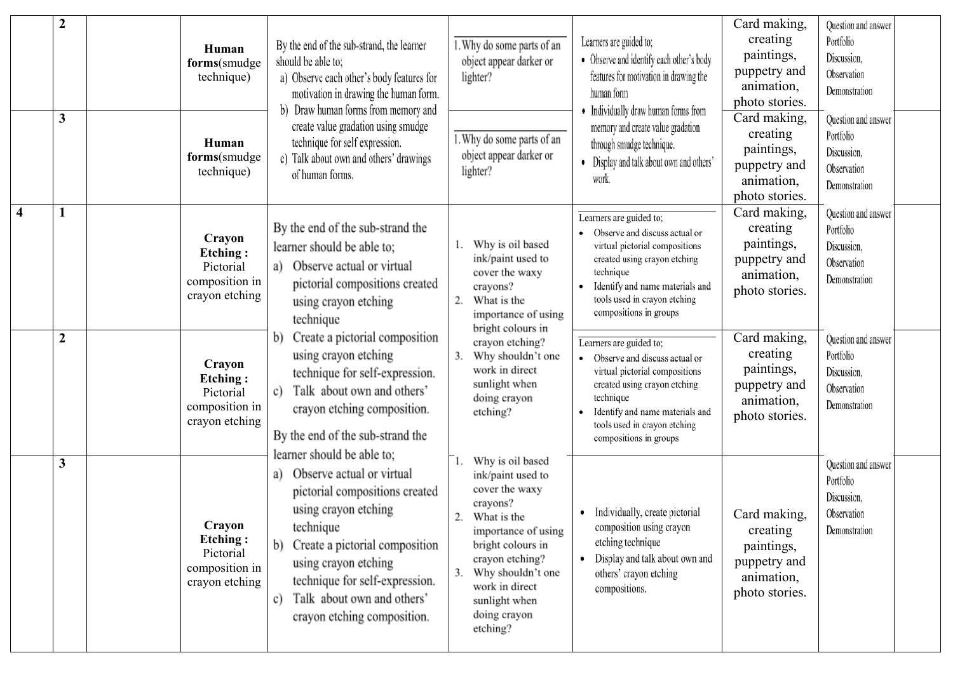|                         | $\boldsymbol{2}$<br>$\mathbf{3}$ | Human<br>forms(smudge<br>technique)<br>Human<br>forms(smudge<br>technique) | By the end of the sub-strand, the learner<br>should be able to;<br>a) Observe each other's body features for<br>motivation in drawing the human form.<br>b) Draw human forms from memory and<br>create value gradation using smudge<br>technique for self expression.<br>c) Talk about own and others' drawings<br>of human forms. | 1. Why do some parts of an<br>object appear darker or<br>lighter?<br>1. Why do some parts of an<br>object appear darker or<br>lighter?                                                                                                      | Learners are guided to;<br>• Observe and identify each other's body<br>features for motivation in drawing the<br>human form<br>• Individually draw human forms from<br>memory and create value gradation<br>through smudge technique.<br>• Display and talk about own and others'<br>work. | Card making,<br>creating<br>paintings,<br>puppetry and<br>animation,<br>photo stories.<br>Card making,<br>creating<br>paintings,<br>puppetry and<br>animation,<br>photo stories. | Question and answer<br>Portfolio<br>Discussion.<br>Observation<br>Demonstration<br>Question and answer<br>Portfolio<br>Discussion,<br>Observation<br>Demonstration |  |
|-------------------------|----------------------------------|----------------------------------------------------------------------------|------------------------------------------------------------------------------------------------------------------------------------------------------------------------------------------------------------------------------------------------------------------------------------------------------------------------------------|---------------------------------------------------------------------------------------------------------------------------------------------------------------------------------------------------------------------------------------------|--------------------------------------------------------------------------------------------------------------------------------------------------------------------------------------------------------------------------------------------------------------------------------------------|----------------------------------------------------------------------------------------------------------------------------------------------------------------------------------|--------------------------------------------------------------------------------------------------------------------------------------------------------------------|--|
| $\overline{\mathbf{4}}$ | $\mathbf{1}$                     | Crayon<br><b>Etching:</b><br>Pictorial<br>composition in<br>crayon etching | By the end of the sub-strand the<br>learner should be able to;<br>Observe actual or virtual<br>a)<br>pictorial compositions created<br>using crayon etching<br>technique                                                                                                                                                           | Why is oil based<br>ink/paint used to<br>cover the waxy<br>crayons?<br>2.<br>What is the<br>importance of using<br>bright colours in                                                                                                        | Learners are guided to;<br>Observe and discuss actual or<br>virtual pictorial compositions<br>created using crayon etching<br>technique<br>Identify and name materials and<br>tools used in crayon etching<br>compositions in groups                                                       | Card making,<br>creating<br>paintings,<br>puppetry and<br>animation,<br>photo stories.                                                                                           | Question and answer<br>Portfolio<br>Discussion,<br>Observation<br>Demonstration                                                                                    |  |
|                         | $\boldsymbol{2}$                 | Crayon<br><b>Etching:</b><br>Pictorial<br>composition in<br>crayon etching | Create a pictorial composition<br>b)<br>using crayon etching<br>technique for self-expression.<br>Talk about own and others'<br>c)<br>crayon etching composition.<br>By the end of the sub-strand the                                                                                                                              | crayon etching?<br>3.<br>Why shouldn't one<br>work in direct<br>sunlight when<br>doing crayon<br>etching?                                                                                                                                   | Learners are guided to;<br>Observe and discuss actual or<br>virtual pictorial compositions<br>created using crayon etching<br>technique<br>Identify and name materials and<br>tools used in crayon etching<br>compositions in groups                                                       | Card making,<br>creating<br>paintings,<br>puppetry and<br>animation,<br>photo stories.                                                                                           | Question and answer<br>Portfolio<br>Discussion,<br>Observation<br>Demonstration                                                                                    |  |
|                         | $\mathbf{3}$                     | Crayon<br><b>Etching:</b><br>Pictorial<br>composition in<br>crayon etching | learner should be able to;<br>Observe actual or virtual<br>a)<br>pictorial compositions created<br>using crayon etching<br>technique<br>Create a pictorial composition<br>b)<br>using crayon etching<br>technique for self-expression.<br>Talk about own and others'<br>c)<br>crayon etching composition.                          | Why is oil based<br>ink/paint used to<br>cover the waxy<br>crayons?<br>What is the<br>2.<br>importance of using<br>bright colours in<br>crayon etching?<br>Why shouldn't one<br>work in direct<br>sunlight when<br>doing crayon<br>etching? | Individually, create pictorial<br>٠<br>composition using crayon<br>etching technique<br>Display and talk about own and<br>others' crayon etching<br>compositions.                                                                                                                          | Card making,<br>creating<br>paintings,<br>puppetry and<br>animation,<br>photo stories.                                                                                           | Question and answer<br>Portfolio<br>Discussion,<br>Observation<br>Demonstration                                                                                    |  |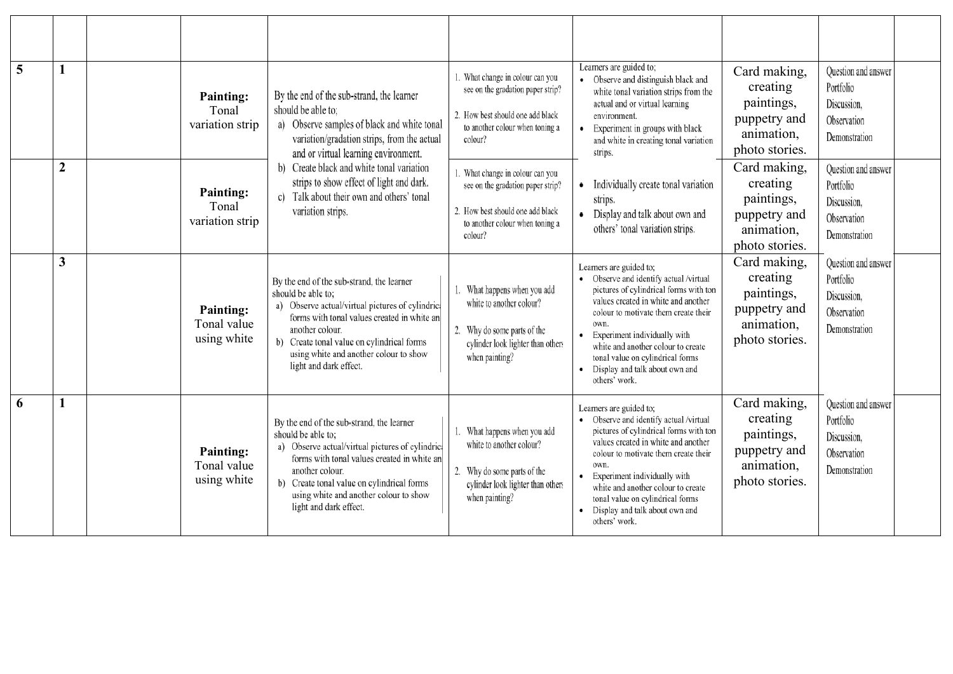| 5 | 1                       | <b>Painting:</b><br>Tonal<br>variation strip   | By the end of the sub-strand, the learner<br>should be able to:<br>a) Observe samples of black and white tonal<br>variation/gradation strips, from the actual<br>and or virtual learning environment.<br>b) Create black and white tonal variation<br>strips to show effect of light and dark.<br>c) Talk about their own and others' tonal<br>variation strips. | 1. What change in colour can you<br>see on the gradation paper strip?<br>2. How best should one add black<br>to another colour when toning a<br>colour? | Learners are guided to;<br>• Observe and distinguish black and<br>white tonal variation strips from the<br>actual and or virtual learning<br>environment.<br>Experiment in groups with black<br>and white in creating tonal variation<br>strips.                                                                                                                | Card making,<br>creating<br>paintings,<br>puppetry and<br>animation,<br>photo stories. | Question and answer<br>Portfolio<br>Discussion.<br>Observation<br>Demonstration |  |
|---|-------------------------|------------------------------------------------|------------------------------------------------------------------------------------------------------------------------------------------------------------------------------------------------------------------------------------------------------------------------------------------------------------------------------------------------------------------|---------------------------------------------------------------------------------------------------------------------------------------------------------|-----------------------------------------------------------------------------------------------------------------------------------------------------------------------------------------------------------------------------------------------------------------------------------------------------------------------------------------------------------------|----------------------------------------------------------------------------------------|---------------------------------------------------------------------------------|--|
|   | $\overline{2}$          | <b>Painting:</b><br>Tonal<br>variation strip   |                                                                                                                                                                                                                                                                                                                                                                  | 1. What change in colour can you<br>see on the gradation paper strip?<br>2. How best should one add black<br>to another colour when toning a<br>colour? | Individually create tonal variation<br>strips.<br>Display and talk about own and<br>others' tonal variation strips.                                                                                                                                                                                                                                             | Card making,<br>creating<br>paintings,<br>puppetry and<br>animation,<br>photo stories. | Question and answer<br>Portfolio<br>Discussion.<br>Observation<br>Demonstration |  |
|   | $\overline{\mathbf{3}}$ | <b>Painting:</b><br>Tonal value<br>using white | By the end of the sub-strand, the learner<br>should be able to:<br>a) Observe actual/virtual pictures of cylindric<br>forms with tonal values created in white an<br>another colour.<br>b) Create tonal value on cylindrical forms<br>using white and another colour to show<br>light and dark effect.                                                           | What happens when you add<br>white to another colour?<br>2. Why do some parts of the<br>cylinder look lighter than others<br>when painting?             | Learners are guided to;<br>Observe and identify actual /virtual<br>pictures of cylindrical forms with ton<br>values created in white and another<br>colour to motivate them create their<br>own.<br>Experiment individually with<br>white and another colour to create<br>tonal value on cylindrical forms<br>Display and talk about own and<br>others' work.   | Card making,<br>creating<br>paintings,<br>puppetry and<br>animation,<br>photo stories. | Question and answer<br>Portfolio<br>Discussion.<br>Observation<br>Demonstration |  |
| 6 | 1                       | <b>Painting:</b><br>Tonal value<br>using white | By the end of the sub-strand, the learner<br>should be able to:<br>a) Observe actual/virtual pictures of cylindric<br>forms with tonal values created in white an<br>another colour.<br>b) Create tonal value on cylindrical forms<br>using white and another colour to show<br>light and dark effect.                                                           | What happens when you add<br>white to another colour?<br>2. Why do some parts of the<br>cylinder look lighter than others<br>when painting?             | Learners are guided to:<br>• Observe and identify actual /virtual<br>pictures of cylindrical forms with ton<br>values created in white and another<br>colour to motivate them create their<br>own.<br>Experiment individually with<br>white and another colour to create<br>tonal value on cylindrical forms<br>Display and talk about own and<br>others' work. | Card making,<br>creating<br>paintings,<br>puppetry and<br>animation,<br>photo stories. | Question and answer<br>Portfolio<br>Discussion.<br>Observation<br>Demonstration |  |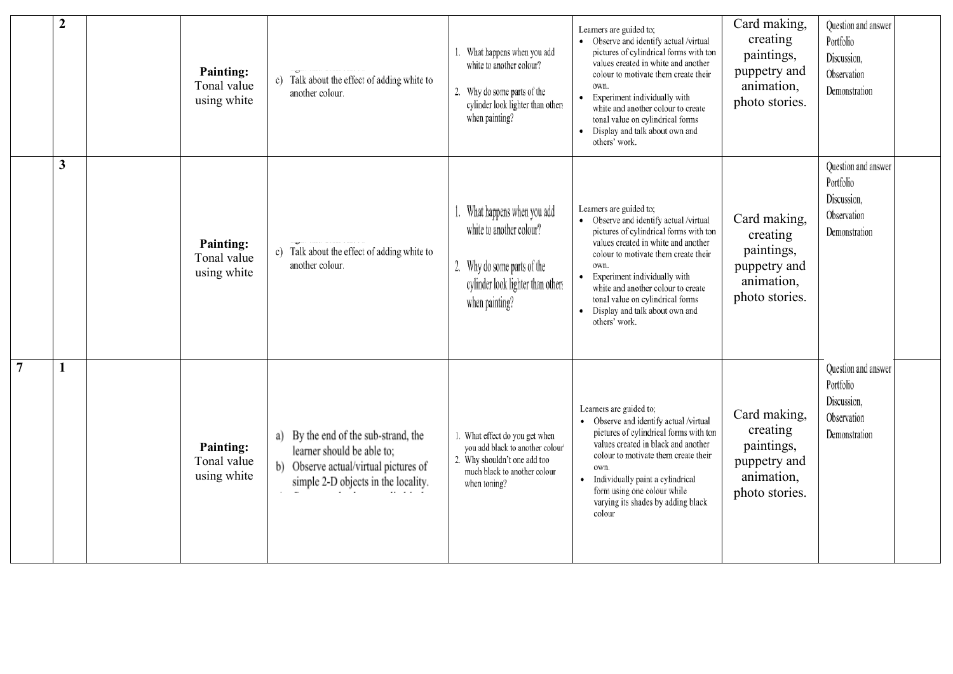|                 | $\overline{2}$ | <b>Painting:</b><br>Tonal value<br>using white | c) Talk about the effect of adding white to<br>another colour.                                                                                             | What happens when you add<br>white to another colour?<br>2. Why do some parts of the<br>cylinder look lighter than others<br>when painting?        | Learners are guided to;<br>• Observe and identify actual /virtual<br>pictures of cylindrical forms with ton<br>values created in white and another<br>colour to motivate them create their<br>own.<br>Experiment individually with<br>$\bullet$<br>white and another colour to create<br>tonal value on cylindrical forms<br>Display and talk about own and<br>others' work. | Card making,<br>creating<br>paintings,<br>puppetry and<br>animation,<br>photo stories. | Question and answer<br>Portfolio<br>Discussion,<br>Observation<br>Demonstration |
|-----------------|----------------|------------------------------------------------|------------------------------------------------------------------------------------------------------------------------------------------------------------|----------------------------------------------------------------------------------------------------------------------------------------------------|------------------------------------------------------------------------------------------------------------------------------------------------------------------------------------------------------------------------------------------------------------------------------------------------------------------------------------------------------------------------------|----------------------------------------------------------------------------------------|---------------------------------------------------------------------------------|
|                 | $\mathbf{3}$   | <b>Painting:</b><br>Tonal value<br>using white | c) Talk about the effect of adding white to<br>another colour.                                                                                             | What happens when you add<br>white to another colour?<br>2. Why do some parts of the<br>cylinder look lighter than others<br>when painting?        | Learners are guided to;<br>Observe and identify actual /virtual<br>pictures of cylindrical forms with ton<br>values created in white and another<br>colour to motivate them create their<br>own.<br>Experiment individually with<br>white and another colour to create<br>tonal value on cylindrical forms<br>Display and talk about own and<br>others' work.                | Card making,<br>creating<br>paintings,<br>puppetry and<br>animation,<br>photo stories. | Question and answer<br>Portfolio<br>Discussion,<br>Observation<br>Demonstration |
| $7\phantom{.0}$ | 1              | <b>Painting:</b><br>Tonal value<br>using white | a) By the end of the sub-strand, the<br>learner should be able to;<br>b) Observe actual/virtual pictures of<br>simple 2-D objects in the locality.<br>$\,$ | 1. What effect do you get when<br>you add black to another colour'<br>2. Why shouldn't one add too<br>much black to another colour<br>when toning? | Learners are guided to;<br>Observe and identify actual /virtual<br>pictures of cylindrical forms with ton<br>values created in black and another<br>colour to motivate them create their<br>own.<br>Individually paint a cylindrical<br>form using one colour while<br>varying its shades by adding black<br>colour                                                          | Card making,<br>creating<br>paintings,<br>puppetry and<br>animation,<br>photo stories. | Question and answer<br>Portfolio<br>Discussion,<br>Observation<br>Demonstration |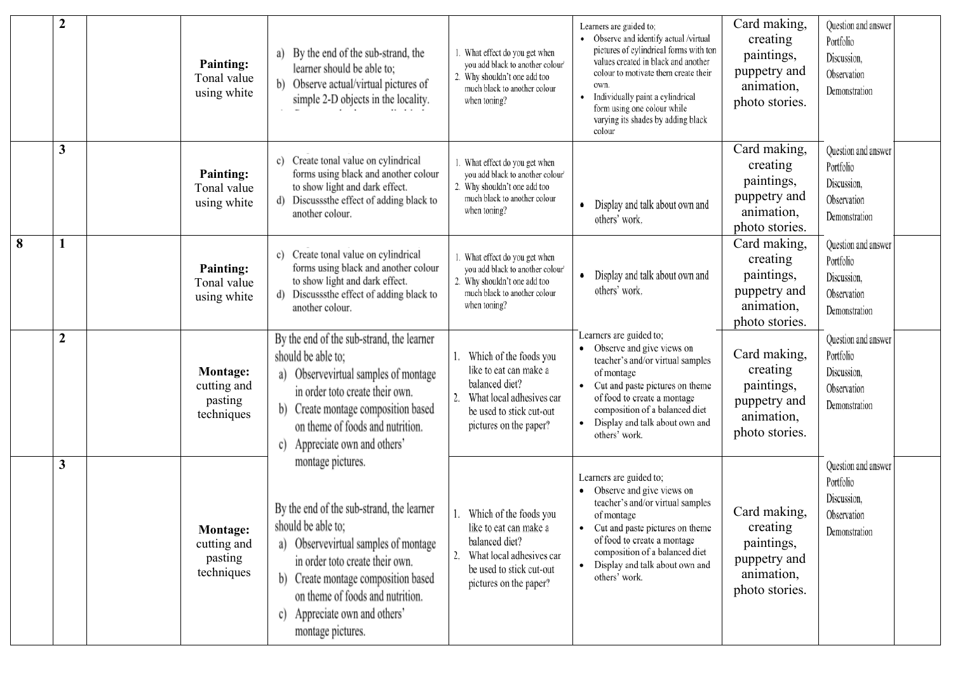|   | $\boldsymbol{2}$ | <b>Painting:</b><br>Tonal value<br>using white          | By the end of the sub-strand, the<br>a)<br>learner should be able to:<br>Observe actual/virtual pictures of<br>simple 2-D objects in the locality.                                                                                                                                                  | 1. What effect do you get when<br>you add black to another colour'<br>2. Why shouldn't one add too<br>much black to another colour<br>when toning?         | Learners are guided to;<br>• Observe and identify actual /virtual<br>pictures of cylindrical forms with ton<br>values created in black and another<br>colour to motivate them create their<br>own.<br>Individually paint a cylindrical<br>form using one colour while<br>varying its shades by adding black<br>colour | Card making,<br>creating<br>paintings,<br>puppetry and<br>animation,<br>photo stories. | Question and answer<br>Portfolio<br>Discussion,<br>Observation<br>Demonstration |
|---|------------------|---------------------------------------------------------|-----------------------------------------------------------------------------------------------------------------------------------------------------------------------------------------------------------------------------------------------------------------------------------------------------|------------------------------------------------------------------------------------------------------------------------------------------------------------|-----------------------------------------------------------------------------------------------------------------------------------------------------------------------------------------------------------------------------------------------------------------------------------------------------------------------|----------------------------------------------------------------------------------------|---------------------------------------------------------------------------------|
|   | $\mathbf{3}$     | <b>Painting:</b><br>Tonal value<br>using white          | Create tonal value on cylindrical<br>c)<br>forms using black and another colour<br>to show light and dark effect.<br>Discusssthe effect of adding black to<br>d).<br>another colour.                                                                                                                | What effect do you get when<br>you add black to another colour'<br>2. Why shouldn't one add too<br>much black to another colour<br>when toning?            | Display and talk about own and<br>others' work.                                                                                                                                                                                                                                                                       | Card making,<br>creating<br>paintings,<br>puppetry and<br>animation,<br>photo stories. | Question and answer<br>Portfolio<br>Discussion,<br>Observation<br>Demonstration |
| 8 |                  | <b>Painting:</b><br>Tonal value<br>using white          | Create tonal value on cylindrical<br>c)<br>forms using black and another colour<br>to show light and dark effect.<br>Discusssthe effect of adding black to<br>d)<br>another colour.                                                                                                                 | 1. What effect do you get when<br>you add black to another colour'<br>2. Why shouldn't one add too<br>much black to another colour<br>when toning?         | Display and talk about own and<br>others' work.                                                                                                                                                                                                                                                                       | Card making,<br>creating<br>paintings,<br>puppetry and<br>animation,<br>photo stories. | Question and answer<br>Portfolio<br>Discussion,<br>Observation<br>Demonstration |
|   | $\boldsymbol{2}$ | <b>Montage:</b><br>cutting and<br>pasting<br>techniques | By the end of the sub-strand, the learner<br>should be able to:<br>a) Observevirtual samples of montage<br>in order toto create their own.<br>b) Create montage composition based<br>on theme of foods and nutrition.<br>Appreciate own and others'<br>$\mathcal{C}$                                | Which of the foods you<br>like to eat can make a<br>balanced diet?<br>What local adhesives car<br>be used to stick cut-out<br>pictures on the paper?       | Learners are guided to;<br>• Observe and give views on<br>teacher's and/or virtual samples<br>of montage<br>Cut and paste pictures on theme<br>of food to create a montage<br>composition of a balanced diet<br>Display and talk about own and<br>others' work.                                                       | Card making,<br>creating<br>paintings,<br>puppetry and<br>animation,<br>photo stories. | Question and answer<br>Portfolio<br>Discussion,<br>Observation<br>Demonstration |
|   | $\mathbf{3}$     | <b>Montage:</b><br>cutting and<br>pasting<br>techniques | montage pictures.<br>By the end of the sub-strand, the learner<br>should be able to;<br>a) Observevirtual samples of montage<br>in order toto create their own.<br>b) Create montage composition based<br>on theme of foods and nutrition.<br>Appreciate own and others'<br>C)<br>montage pictures. | 1.<br>Which of the foods you<br>like to eat can make a<br>balanced diet?<br>What local adhesives car<br>be used to stick cut-out<br>pictures on the paper? | Learners are guided to;<br>Observe and give views on<br>teacher's and/or virtual samples<br>of montage<br>Cut and paste pictures on theme<br>of food to create a montage<br>composition of a balanced diet<br>Display and talk about own and<br>others' work.                                                         | Card making,<br>creating<br>paintings,<br>puppetry and<br>animation,<br>photo stories. | Question and answer<br>Portfolio<br>Discussion,<br>Observation<br>Demonstration |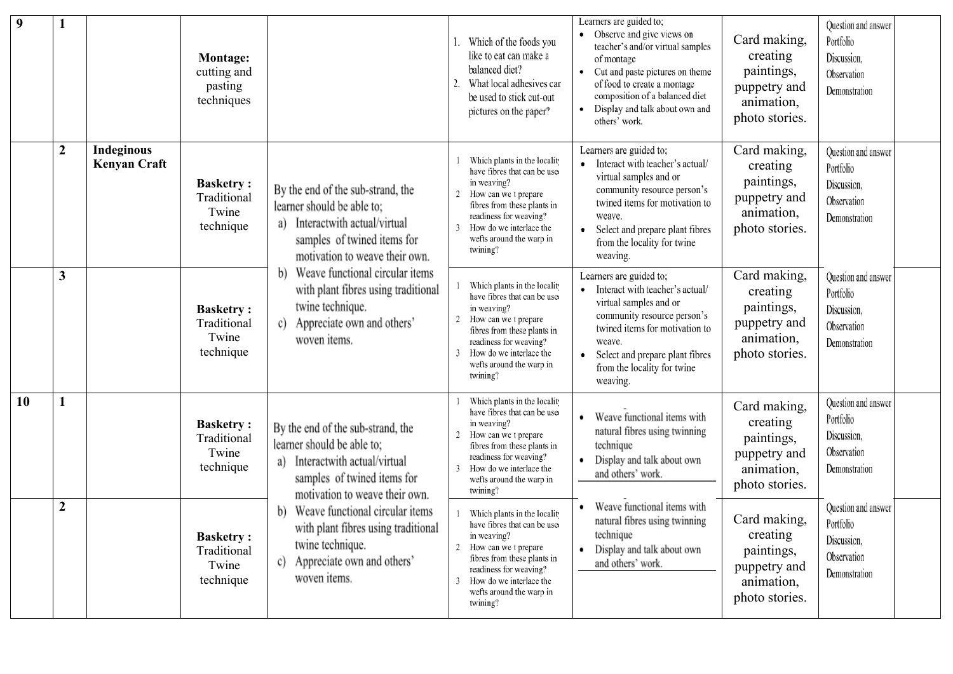| 9  |                  |                                          | <b>Montage:</b><br>cutting and<br>pasting<br>techniques |                                                                                                                                                                       | Which of the foods you<br>like to eat can make a<br>balanced diet?<br>What local adhesives car<br>be used to stick cut-out<br>pictures on the paper?                                                                                 | Learners are guided to;<br>• Observe and give views on<br>teacher's and/or virtual samples<br>of montage<br>• Cut and paste pictures on theme<br>of food to create a montage<br>composition of a balanced diet<br>Display and talk about own and<br>others' work. | Card making,<br>creating<br>paintings,<br>puppetry and<br>animation,<br>photo stories. | Question and answer<br>Portfolio<br>Discussion,<br>Observation<br>Demonstration |
|----|------------------|------------------------------------------|---------------------------------------------------------|-----------------------------------------------------------------------------------------------------------------------------------------------------------------------|--------------------------------------------------------------------------------------------------------------------------------------------------------------------------------------------------------------------------------------|-------------------------------------------------------------------------------------------------------------------------------------------------------------------------------------------------------------------------------------------------------------------|----------------------------------------------------------------------------------------|---------------------------------------------------------------------------------|
|    | $\boldsymbol{2}$ | <b>Indeginous</b><br><b>Kenyan Craft</b> | <b>Basketry:</b><br>Traditional<br>Twine<br>technique   | By the end of the sub-strand, the<br>learner should be able to;<br>Interactwith actual/virtual<br>a)<br>samples of twined items for<br>motivation to weave their own. | Which plants in the locality<br>have fibres that can be used<br>in weaving?<br>How can we t prepare<br>fibres from these plants in<br>readiness for weaving?<br>How do we interlace the<br>wefts around the warp in<br>twining?      | Learners are guided to;<br>Interact with teacher's actual/<br>virtual samples and or<br>community resource person's<br>twined items for motivation to<br>weave.<br>Select and prepare plant fibres<br>from the locality for twine<br>weaving.                     | Card making,<br>creating<br>paintings,<br>puppetry and<br>animation,<br>photo stories. | Question and answer<br>Portfolio<br>Discussion,<br>Observation<br>Demonstration |
|    | 3                |                                          | <b>Basketry:</b><br>Traditional<br>Twine<br>technique   | Weave functional circular items<br>b)<br>with plant fibres using traditional<br>twine technique.<br>Appreciate own and others'<br>c)<br>woven items.                  | Which plants in the locality<br>have fibres that can be used<br>in weaving?<br>How can we t prepare<br>2<br>fibres from these plants in<br>readiness for weaving?<br>How do we interlace the<br>wefts around the warp in<br>twining? | Learners are guided to;<br>Interact with teacher's actual/<br>virtual samples and or<br>community resource person's<br>twined items for motivation to<br>weave.<br>Select and prepare plant fibres<br>from the locality for twine<br>weaving.                     | Card making,<br>creating<br>paintings,<br>puppetry and<br>animation,<br>photo stories. | Question and answer<br>Portfolio<br>Discussion,<br>Observation<br>Demonstration |
| 10 |                  |                                          | <b>Basketry:</b><br>Traditional<br>Twine<br>technique   | By the end of the sub-strand, the<br>learner should be able to;<br>Interactwith actual/virtual<br>a)<br>samples of twined items for<br>motivation to weave their own. | Which plants in the locality<br>have fibres that can be used<br>in weaving?<br>How can we t prepare<br>2<br>fibres from these plants in<br>readiness for weaving?<br>How do we interlace the<br>wefts around the warp in<br>twining? | Weave functional items with<br>natural fibres using twinning<br>technique<br>Display and talk about own<br>and others' work.                                                                                                                                      | Card making,<br>creating<br>paintings,<br>puppetry and<br>animation,<br>photo stories. | Question and answer<br>Portfolio<br>Discussion,<br>Observation<br>Demonstration |
|    | $\boldsymbol{2}$ |                                          | <b>Basketry:</b><br>Traditional<br>Twine<br>technique   | Weave functional circular items<br>with plant fibres using traditional<br>twine technique.<br>Appreciate own and others'<br>c)<br>woven items.                        | Which plants in the locality<br>have fibres that can be used<br>in weaving?<br>2 How can we t prepare<br>fibres from these plants in<br>readiness for weaving?<br>How do we interlace the<br>wefts around the warp in<br>twining?    | Weave functional items with<br>natural fibres using twinning<br>technique<br>Display and talk about own<br>and others' work.                                                                                                                                      | Card making,<br>creating<br>paintings,<br>puppetry and<br>animation,<br>photo stories. | Question and answer<br>Portfolio<br>Discussion,<br>Observation<br>Demonstration |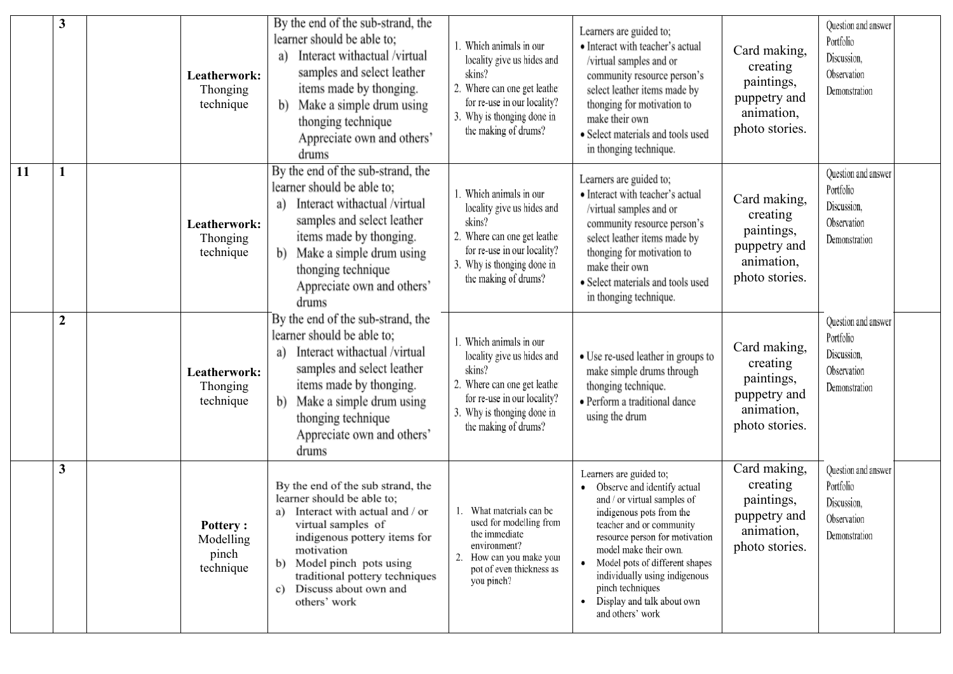|           | 3              | Leatherwork:<br>Thonging<br>technique              | By the end of the sub-strand, the<br>learner should be able to;<br>Interact withactual /virtual<br>a)<br>samples and select leather<br>items made by thonging.<br>b) Make a simple drum using<br>thonging technique<br>Appreciate own and others'<br>drums                            | 1. Which animals in our<br>locality give us hides and<br>skins?<br>2. Where can one get leathe:<br>for re-use in our locality?<br>3. Why is thonging done in<br>the making of drums? | Learners are guided to;<br>• Interact with teacher's actual<br>/virtual samples and or<br>community resource person's<br>select leather items made by<br>thonging for motivation to<br>make their own<br>· Select materials and tools used<br>in thonging technique.                                                                                | Card making,<br>creating<br>paintings,<br>puppetry and<br>animation,<br>photo stories. | Question and answer<br>Portfolio<br>Discussion,<br>Observation<br>Demonstration |
|-----------|----------------|----------------------------------------------------|---------------------------------------------------------------------------------------------------------------------------------------------------------------------------------------------------------------------------------------------------------------------------------------|--------------------------------------------------------------------------------------------------------------------------------------------------------------------------------------|-----------------------------------------------------------------------------------------------------------------------------------------------------------------------------------------------------------------------------------------------------------------------------------------------------------------------------------------------------|----------------------------------------------------------------------------------------|---------------------------------------------------------------------------------|
| <b>11</b> |                | Leatherwork:<br>Thonging<br>technique              | By the end of the sub-strand, the<br>learner should be able to;<br>Interact withactual /virtual<br>a)<br>samples and select leather<br>items made by thonging.<br>Make a simple drum using<br>b)<br>thonging technique<br>Appreciate own and others'<br>drums                         | 1. Which animals in our<br>locality give us hides and<br>skins?<br>2. Where can one get leathe:<br>for re-use in our locality?<br>3. Why is thonging done in<br>the making of drums? | Learners are guided to;<br>• Interact with teacher's actual<br>/virtual samples and or<br>community resource person's<br>select leather items made by<br>thonging for motivation to<br>make their own<br>• Select materials and tools used<br>in thonging technique.                                                                                | Card making,<br>creating<br>paintings,<br>puppetry and<br>animation,<br>photo stories. | Question and answer<br>Portfolio<br>Discussion,<br>Observation<br>Demonstration |
|           | $\overline{2}$ | Leatherwork:<br>Thonging<br>technique              | By the end of the sub-strand, the<br>learner should be able to:<br>Interact withactual /virtual<br>a)<br>samples and select leather<br>items made by thonging.<br>Make a simple drum using<br>b)<br>thonging technique<br>Appreciate own and others'<br>drums                         | 1. Which animals in our<br>locality give us hides and<br>skins?<br>2. Where can one get leathe<br>for re-use in our locality?<br>3. Why is thonging done in<br>the making of drums?  | • Use re-used leather in groups to<br>make simple drums through<br>thonging technique.<br>· Perform a traditional dance<br>using the drum                                                                                                                                                                                                           | Card making,<br>creating<br>paintings,<br>puppetry and<br>animation,<br>photo stories. | Question and answer<br>Portfolio<br>Discussion,<br>Observation<br>Demonstration |
|           | 3              | <b>Pottery:</b><br>Modelling<br>pinch<br>technique | By the end of the sub strand, the<br>learner should be able to;<br>Interact with actual and / or<br>a)<br>virtual samples of<br>indigenous pottery items for<br>motivation<br>Model pinch pots using<br>b)<br>traditional pottery techniques<br>Discuss about own and<br>others' work | 1. What materials can be<br>used for modelling from<br>the immediate<br>environment?<br>How can you make your<br>2.<br>pot of even thickness as<br>you pinch?                        | Learners are guided to;<br>Observe and identify actual<br>and / or virtual samples of<br>indigenous pots from the<br>teacher and or community<br>resource person for motivation<br>model make their own.<br>Model pots of different shapes<br>individually using indigenous<br>pinch techniques<br>• Display and talk about own<br>and others' work | Card making,<br>creating<br>paintings,<br>puppetry and<br>animation,<br>photo stories. | Question and answer<br>Portfolio<br>Discussion,<br>Observation<br>Demonstration |